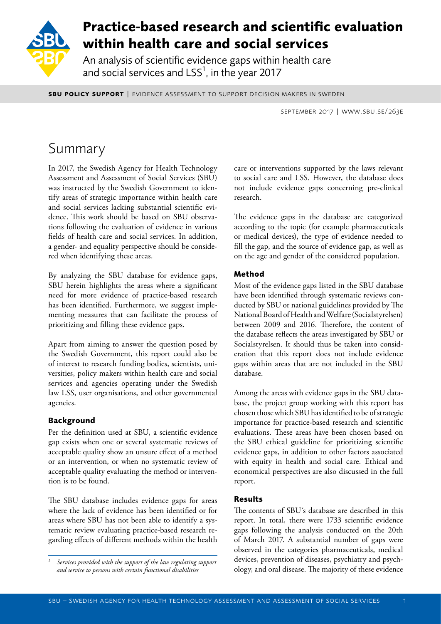

# **Practice-based research and scientific evaluation within health care and social services**

An analysis of scientific evidence gaps within health care and social services and  $LSS<sup>1</sup>$ , in the year 2017

**SBU POLICY SUPPORT | EVIDENCE ASSESSMENT TO SUPPORT DECISION MAKERS IN SWEDEN** 

september 2017 | www.sbu.se/263e

# Summary

In 2017, the Swedish Agency for Health Technology Assessment and Assessment of Social Services (SBU) was instructed by the Swedish Government to identify areas of strategic importance within health care and social services lacking substantial scientific evidence. This work should be based on SBU observations following the evaluation of evidence in various fields of health care and social services. In addition, a gender- and equality perspective should be considered when identifying these areas.

By analyzing the SBU database for evidence gaps, SBU herein highlights the areas where a significant need for more evidence of practice-based research has been identified. Furthermore, we suggest implementing measures that can facilitate the process of prioritizing and filling these evidence gaps.

Apart from aiming to answer the question posed by the Swedish Government, this report could also be of interest to research funding bodies, scientists, universities, policy makers within health care and social services and agencies operating under the Swedish law LSS, user organisations, and other governmental agencies.

# **Background**

Per the definition used at SBU, a scientific evidence gap exists when one or several systematic reviews of acceptable quality show an unsure effect of a method or an intervention, or when no systematic review of acceptable quality evaluating the method or intervention is to be found.

The SBU database includes evidence gaps for areas where the lack of evidence has been identified or for areas where SBU has not been able to identify a systematic review evaluating practice-based research regarding effects of different methods within the health care or interventions supported by the laws relevant to social care and LSS. However, the database does not include evidence gaps concerning pre-clinical research.

The evidence gaps in the database are categorized according to the topic (for example pharmaceuticals or medical devices), the type of evidence needed to fill the gap, and the source of evidence gap, as well as on the age and gender of the considered population.

# **Method**

Most of the evidence gaps listed in the SBU database have been identified through systematic reviews conducted by SBU or national guidelines provided by The National Board of Health and Welfare (Socialstyrelsen) between 2009 and 2016. Therefore, the content of the database reflects the areas investigated by SBU or Socialstyrelsen. It should thus be taken into consideration that this report does not include evidence gaps within areas that are not included in the SBU database.

Among the areas with evidence gaps in the SBU database, the project group working with this report has chosen those which SBU has identified to be of strategic importance for practice-based research and scientific evaluations. These areas have been chosen based on the SBU ethical guideline for prioritizing scientific evidence gaps, in addition to other factors associated with equity in health and social care. Ethical and economical perspectives are also discussed in the full report.

## **Results**

The contents of SBU´s database are described in this report. In total, there were 1733 scientific evidence gaps following the analysis conducted on the 20th of March 2017. A substantial number of gaps were observed in the categories pharmaceuticals, medical devices, prevention of diseases, psychiatry and psychology, and oral disease. The majority of these evidence

*<sup>1</sup> Services provided with the support of the law regulating support and service to persons with certain functional disabilities*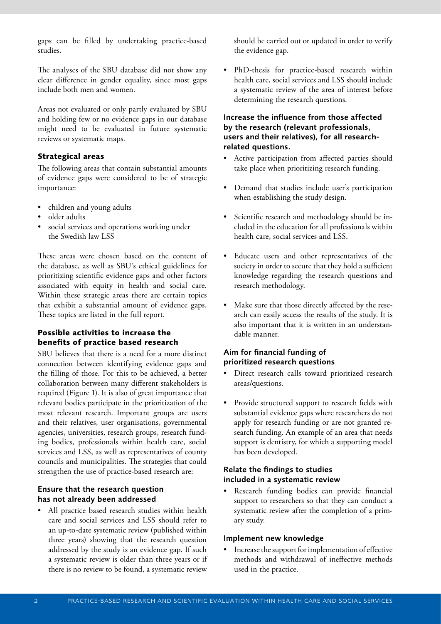gaps can be filled by undertaking practice-based studies.

The analyses of the SBU database did not show any clear difference in gender equality, since most gaps include both men and women.

Areas not evaluated or only partly evaluated by SBU and holding few or no evidence gaps in our database might need to be evaluated in future systematic reviews or systematic maps.

#### **Strategical areas**

The following areas that contain substantial amounts of evidence gaps were considered to be of strategic importance:

- children and young adults
- older adults
- social services and operations working under the Swedish law LSS

These areas were chosen based on the content of the database, as well as SBU´s ethical guidelines for prioritizing scientific evidence gaps and other factors associated with equity in health and social care. Within these strategic areas there are certain topics that exhibit a substantial amount of evidence gaps. These topics are listed in the full report.

### **Possible activities to increase the benefits of practice based research**

SBU believes that there is a need for a more distinct connection between identifying evidence gaps and the filling of those. For this to be achieved, a better collaboration between many different stakeholders is required (Figure 1). It is also of great importance that relevant bodies participate in the prioritization of the most relevant research. Important groups are users and their relatives, user organisations, governmental agencies, universities, research groups, research funding bodies, professionals within health care, social services and LSS, as well as representatives of county councils and municipalities. The strategies that could strengthen the use of practice-based research are:

### Ensure that the research question has not already been addressed

• All practice based research studies within health care and social services and LSS should refer to an up-to-date systematic review (published within three years) showing that the research question addressed by the study is an evidence gap. If such a systematic review is older than three years or if there is no review to be found, a systematic review

should be carried out or updated in order to verify the evidence gap.

PhD-thesis for practice-based research within health care, social services and LSS should include a systematic review of the area of interest before determining the research questions.

## Increase the influence from those affected by the research (relevant professionals, users and their relatives), for all researchrelated questions.

- Active participation from affected parties should take place when prioritizing research funding.
- Demand that studies include user's participation when establishing the study design.
- Scientific research and methodology should be included in the education for all professionals within health care, social services and LSS.
- Educate users and other representatives of the society in order to secure that they hold a sufficient knowledge regarding the research questions and research methodology.
- Make sure that those directly affected by the research can easily access the results of the study. It is also important that it is written in an understandable manner.

#### Aim for financial funding of prioritized research questions

- Direct research calls toward prioritized research areas/questions.
- Provide structured support to research fields with substantial evidence gaps where researchers do not apply for research funding or are not granted research funding. An example of an area that needs support is dentistry, for which a supporting model has been developed.

#### Relate the findings to studies included in a systematic review

Research funding bodies can provide financial support to researchers so that they can conduct a systematic review after the completion of a primary study.

#### Implement new knowledge

Increase the support for implementation of effective methods and withdrawal of ineffective methods used in the practice.